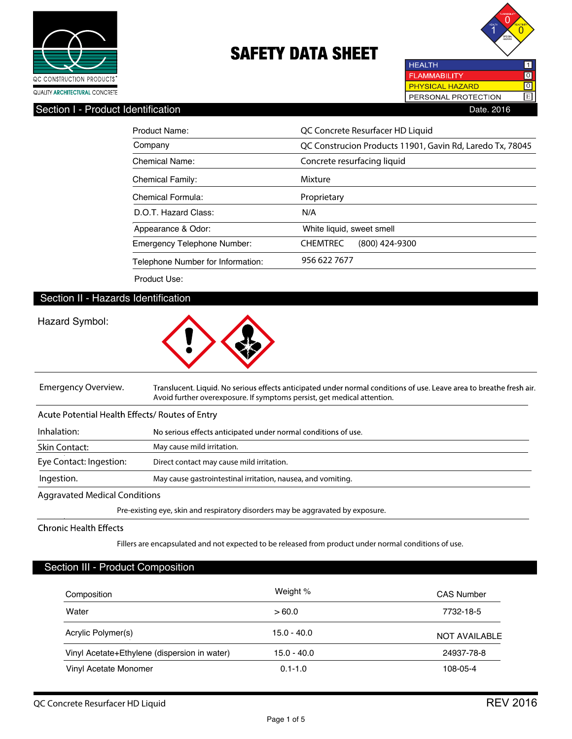



### Section I - Product Identification **Date.** 2016

| Product Name:                      | QC Concrete Resurfacer HD Liquid                          |
|------------------------------------|-----------------------------------------------------------|
| Company                            | QC Construcion Products 11901, Gavin Rd, Laredo Tx, 78045 |
| Chemical Name:                     | Concrete resurfacing liquid                               |
| <b>Chemical Family:</b>            | Mixture                                                   |
| Chemical Formula:                  | Proprietary                                               |
| D.O.T. Hazard Class:               | N/A                                                       |
| Appearance & Odor:                 | White liquid, sweet smell                                 |
| <b>Emergency Telephone Number:</b> | $(800)$ 424-9300<br><b>CHEMTREC</b>                       |
| Telephone Number for Information:  | 956 622 7677                                              |

Product Use:

### Section II - Hazards Identification

### Hazard Symbol:



| Emergency Overview.                                                        | Translucent. Liguid. No serious effects anticipated under normal conditions of use. Leave area to breathe fresh air.<br>Avoid further overexposure. If symptoms persist, get medical attention. |  |
|----------------------------------------------------------------------------|-------------------------------------------------------------------------------------------------------------------------------------------------------------------------------------------------|--|
| Acute Potential Health Effects/ Routes of Entry                            |                                                                                                                                                                                                 |  |
| Inhalation:                                                                | No serious effects anticipated under normal conditions of use.                                                                                                                                  |  |
| <b>Skin Contact:</b>                                                       | May cause mild irritation.                                                                                                                                                                      |  |
| Eye Contact: Ingestion:                                                    | Direct contact may cause mild irritation.                                                                                                                                                       |  |
| Ingestion.<br>May cause gastrointestinal irritation, nausea, and vomiting. |                                                                                                                                                                                                 |  |
| <b>Aggravated Medical Conditions</b>                                       |                                                                                                                                                                                                 |  |
|                                                                            | Pre-existing eye, skin and respiratory disorders may be aggravated by exposure.                                                                                                                 |  |

**Chronic Health Effects** 

**Fillers are encapsulated and not expected to be released from product under normal conditions of use.**

### Section III - Product Composition

| Composition                                  | Weight %      | <b>CAS Number</b>    |
|----------------------------------------------|---------------|----------------------|
| Water                                        | >60.0         | 7732-18-5            |
| Acrylic Polymer(s)                           | $15.0 - 40.0$ | <b>NOT AVAILABLE</b> |
| Vinyl Acetate+Ethylene (dispersion in water) | $15.0 - 40.0$ | 24937-78-8           |
| Vinyl Acetate Monomer                        | $0.1 - 1.0$   | 108-05-4             |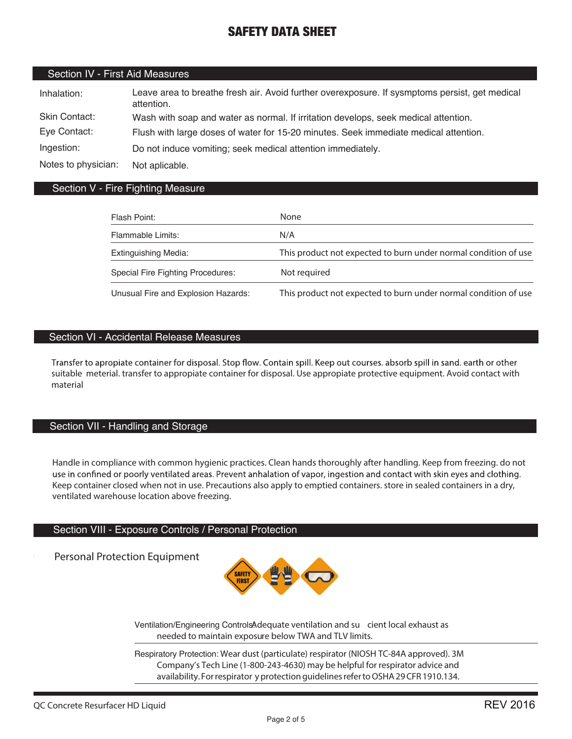### Section IV - First Aid Measures

| Inhalation:         | Leave area to breathe fresh air. Avoid further overexposure. If sysmptoms persist, get medical<br>attention. |
|---------------------|--------------------------------------------------------------------------------------------------------------|
| Skin Contact:       | Wash with soap and water as normal. If irritation develops, seek medical attention.                          |
| Eye Contact:        | Flush with large doses of water for 15-20 minutes. Seek immediate medical attention.                         |
| Ingestion:          | Do not induce vomiting; seek medical attention immediately.                                                  |
| Notes to physician: | Not aplicable.                                                                                               |

### Section V - Fire Fighting Measure

| Flash Point:                        | None                                                            |
|-------------------------------------|-----------------------------------------------------------------|
| Flammable Limits:                   | N/A                                                             |
| <b>Extinguishing Media:</b>         | This product not expected to burn under normal condition of use |
| Special Fire Fighting Procedures:   | Not required                                                    |
| Unusual Fire and Explosion Hazards: | This product not expected to burn under normal condition of use |

### Section VI - Accidental Release Measures

Transfer to apropiate container for disposal. Stop flow. Contain spill. Keep out courses. absorb spill in sand. earth or other **suitable meterial. transfer to appropiate container for disposal. Use appropiate protective equipment. Avoid contact with material**

### Section VII - Handling and Storage

**Handle in compliance with common hygienic practices. Clean hands thoroughly after handling. Keep from freezing. do not** use in confined or poorly ventilated areas. Prevent anhalation of vapor, ingestion and contact with skin eyes and clothing. **Keep container closed when not in use. Precautions also apply to emptied containers. store in sealed containers in a dry, ventilated warehouse location above freezing.**

### Section VIII - Exposure Controls / Personal Protection

Personal Protection Equipment



Ventilation/Engineering ControlsAdequate ventilation and su cient local exhaust as **needed to maintain exposure below TWA and TLV limits.**

Respiratory Protection: **Wear dust (particulate) respirator (NIOSH TC-84A approved). 3M Company's Tech Line (1-800-243-4630) may be helpful for respirator advice and availability. For respirator y protection guidelines refer to OSHA 29 CFR 1910.134.**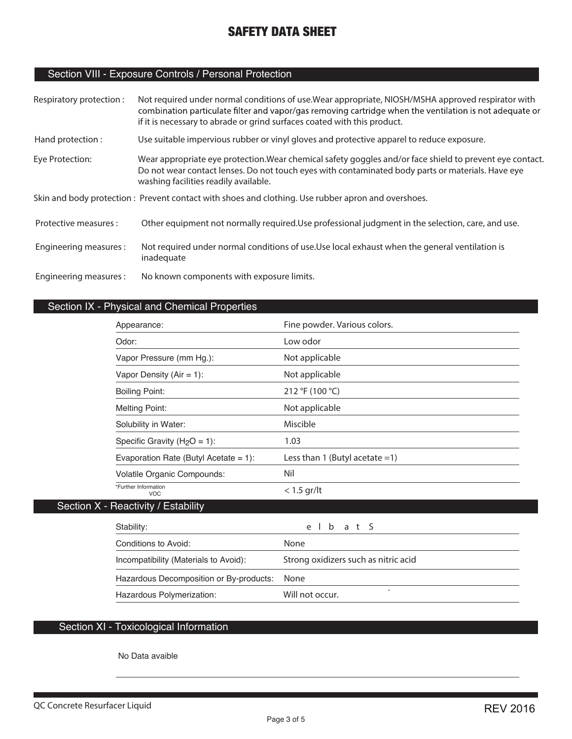## Section VIII - Exposure Controls / Personal Protection

| Respiratory protection:      | Not required under normal conditions of use. Wear appropriate, NIOSH/MSHA approved respirator with<br>combination particulate filter and vapor/gas removing cartridge when the ventilation is not adequate or<br>if it is necessary to abrade or grind surfaces coated with this product. |
|------------------------------|-------------------------------------------------------------------------------------------------------------------------------------------------------------------------------------------------------------------------------------------------------------------------------------------|
| Hand protection:             | Use suitable impervious rubber or vinyl gloves and protective apparel to reduce exposure.                                                                                                                                                                                                 |
| Eye Protection:              | Wear appropriate eye protection. Wear chemical safety goggles and/or face shield to prevent eye contact.<br>Do not wear contact lenses. Do not touch eyes with contaminated body parts or materials. Have eye<br>washing facilities readily available.                                    |
|                              | Skin and body protection: Prevent contact with shoes and clothing. Use rubber apron and overshoes.                                                                                                                                                                                        |
| Protective measures :        | Other equipment not normally required. Use professional judgment in the selection, care, and use.                                                                                                                                                                                         |
| <b>Engineering measures:</b> | Not required under normal conditions of use. Use local exhaust when the general ventilation is<br>inadequate                                                                                                                                                                              |
| <b>Engineering measures:</b> | No known components with exposure limits.                                                                                                                                                                                                                                                 |

## Section IX - Physical and Chemical Properties

| Appearance:                              | Fine powder. Various colors.      |
|------------------------------------------|-----------------------------------|
| Odor:                                    | Low odor                          |
| Vapor Pressure (mm Hq.):                 | Not applicable                    |
| Vapor Density $(Air = 1)$ :              | Not applicable                    |
| Boiling Point:                           | 212 °F (100 °C)                   |
| <b>Melting Point:</b>                    | Not applicable                    |
| Solubility in Water:                     | Miscible                          |
| Specific Gravity ( $H_2O = 1$ ):         | 1.03                              |
| Evaporation Rate (Butyl Acetate = $1$ ): | Less than 1 (Butyl acetate $=1$ ) |
| <b>Volatile Organic Compounds:</b>       | Nil                               |
| *Further Information<br><b>VOC</b>       | $<$ 1.5 gr/lt                     |
| Reactivity / Estability                  |                                   |

## Section X - Reactivity / Estability

| Stability:                              | elbat S                              |
|-----------------------------------------|--------------------------------------|
| Conditions to Avoid:                    | None                                 |
| Incompatibility (Materials to Avoid):   | Strong oxidizers such as nitric acid |
| Hazardous Decomposition or By-products: | None                                 |
| Hazardous Polymerization:               | Will not occur.                      |

### Section XI - Toxicological Information

No Data avaible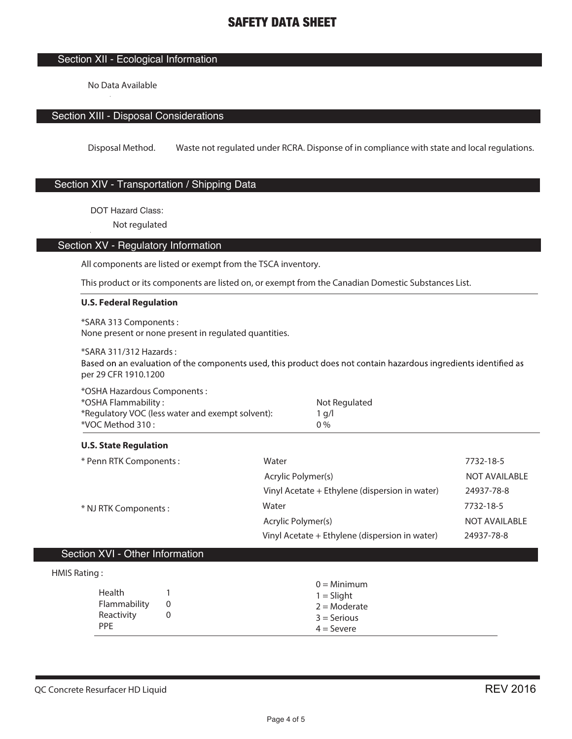### Section XII - Ecological Information

No Data Available

### Section XIII - Disposal Considerations

Disposal Method. Waste not regulated under RCRA. Disponse of in compliance with state and local regulations.

### Section XIV - Transportation / Shipping Data

DOT Hazard Class:

**Not regulated**

### Section XV - Regulatory Information

All components are listed or exempt from the TSCA inventory.

This product or its components are listed on, or exempt from the Canadian Domestic Substances List.

#### **U.S. Federal Regulation**

\*SARA 313 Components : None present or none present in regulated quantities.

\*SARA 311/312 Hazards : Based on an evaluation of the components used, this product does not contain hazardous ingredients identified as per 29 CFR 1910.1200

| *OSHA Hazardous Components :                     |               |
|--------------------------------------------------|---------------|
| *OSHA Flammability :                             | Not Regulated |
| *Regulatory VOC (less water and exempt solvent): | ` a/l         |
| *VOC Method 310 :                                | 0 %           |

#### **U.S. State Regulation**

| * Penn RTK Components: | Water                                          | 7732-18-5     |
|------------------------|------------------------------------------------|---------------|
| * NJ RTK Components :  | Acrylic Polymer(s)                             | NOT AVAILABLE |
|                        | Vinyl Acetate + Ethylene (dispersion in water) | 24937-78-8    |
|                        | Water                                          | 7732-18-5     |
|                        | Acrylic Polymer(s)                             | NOT AVAILABLE |
|                        | Vinyl Acetate + Ethylene (dispersion in water) | 24937-78-8    |

### Section XVI - Other Information

HMIS Rating :

| Health<br>Flammability<br>Reactivity | $\overline{0}$ | $0 =$ Minimum<br>$1 =$ Slight<br>$2 =$ Moderate<br>$3 =$ Serious |
|--------------------------------------|----------------|------------------------------------------------------------------|
| <b>PPE</b>                           |                | $4 =$ Severe                                                     |